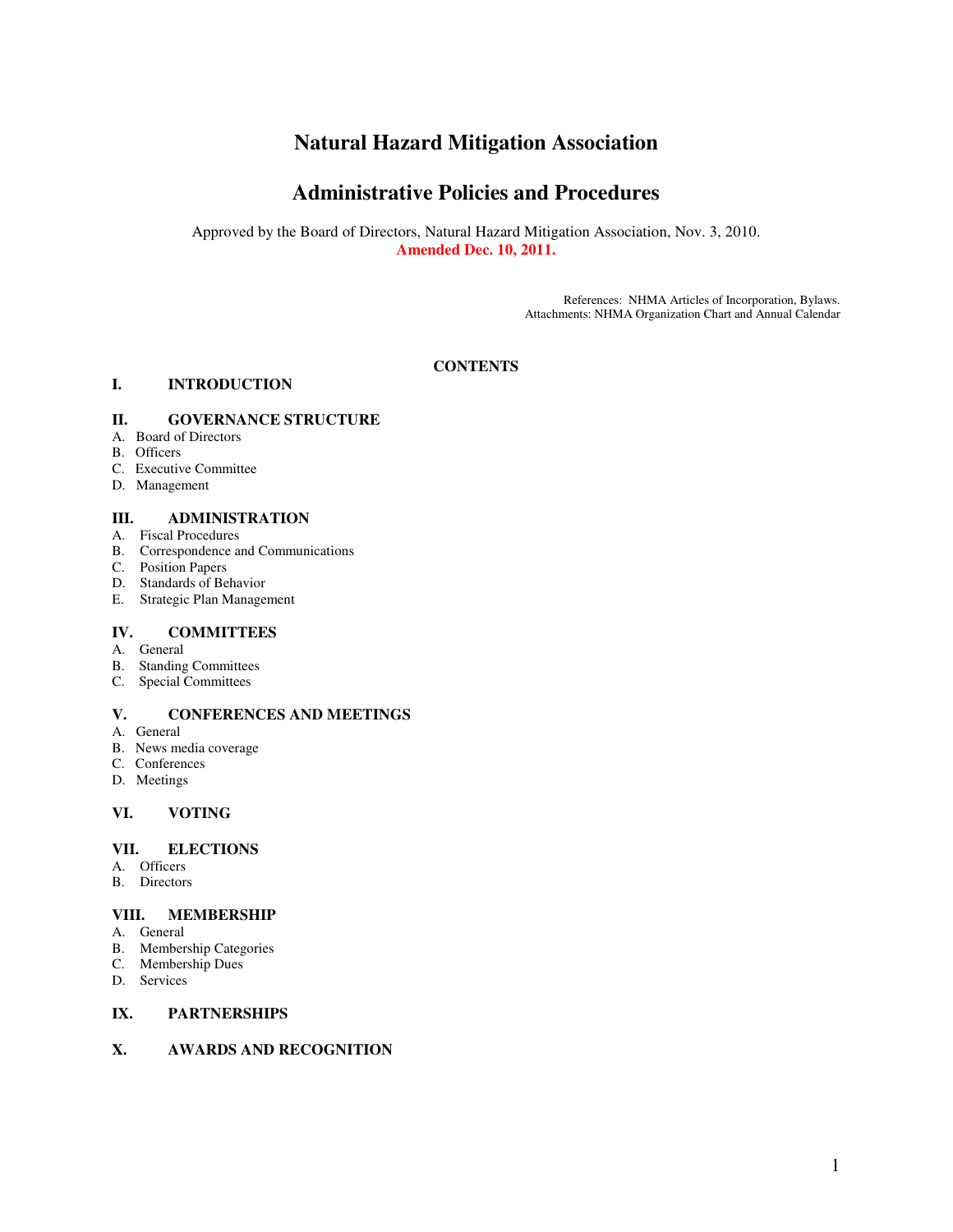# **Natural Hazard Mitigation Association**

# **Administrative Policies and Procedures**

Approved by the Board of Directors, Natural Hazard Mitigation Association, Nov. 3, 2010. **Amended Dec. 10, 2011.** 

> References: NHMA Articles of Incorporation, Bylaws. Attachments: NHMA Organization Chart and Annual Calendar

# **CONTENTS**

# **I. INTRODUCTION**

### **II. GOVERNANCE STRUCTURE**

- A. Board of Directors
- B. Officers
- C. Executive Committee
- D. Management

# **III. ADMINISTRATION**

- A. Fiscal Procedures
- B. Correspondence and Communications
- C. Position Papers
- D. Standards of Behavior
- E. Strategic Plan Management

#### **IV. COMMITTEES**

- A. General
- B. Standing Committees
- C. Special Committees

# **V. CONFERENCES AND MEETINGS**

- A. General
- B. News media coverage
- C. Conferences
- D. Meetings

# **VI. VOTING**

#### **VII. ELECTIONS**

- A. Officers
- B. Directors

# **VIII. MEMBERSHIP**

- A. General
- B. Membership Categories
- C. Membership Dues
- D. Services

## **IX. PARTNERSHIPS**

# **X. AWARDS AND RECOGNITION**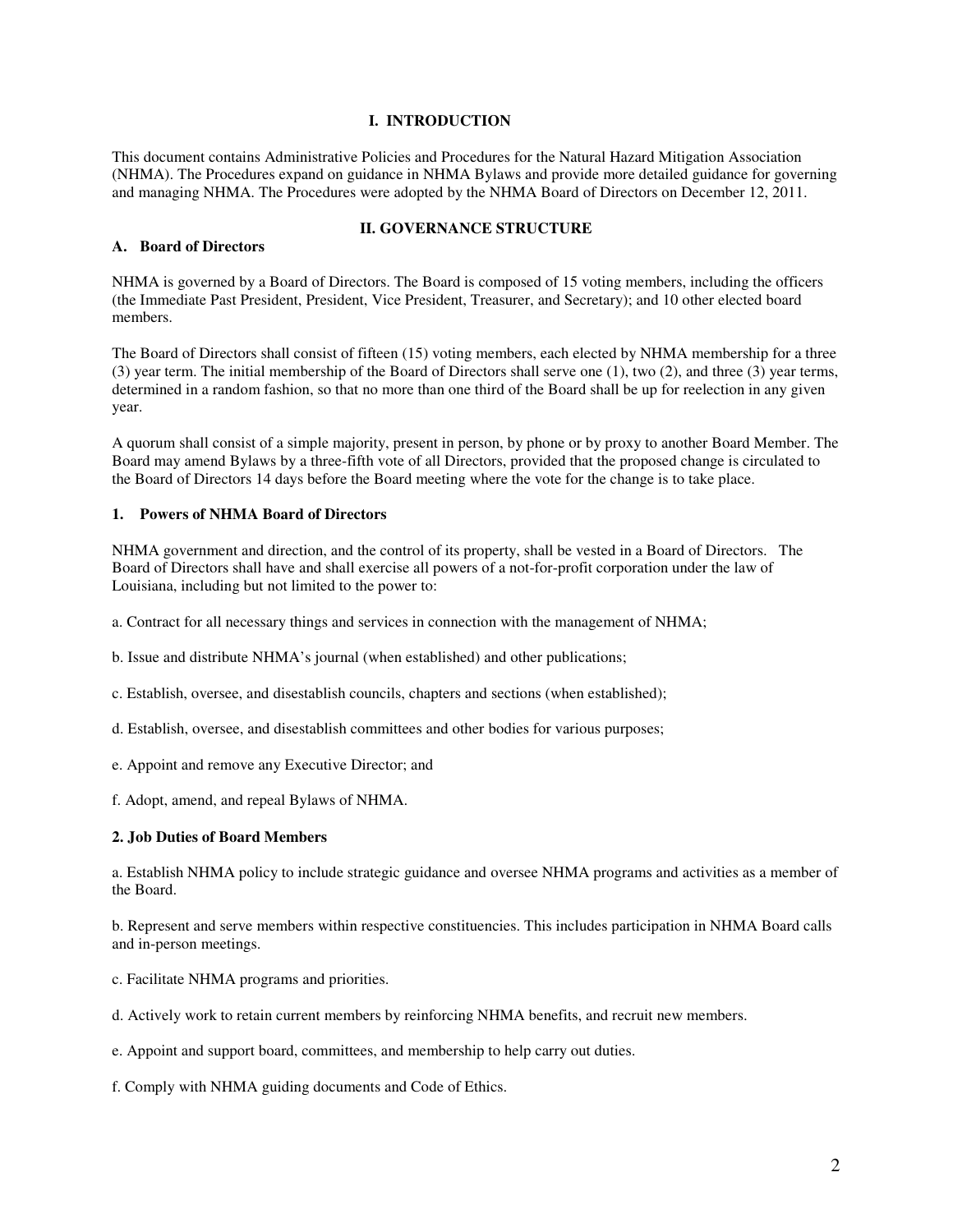# **I. INTRODUCTION**

This document contains Administrative Policies and Procedures for the Natural Hazard Mitigation Association (NHMA). The Procedures expand on guidance in NHMA Bylaws and provide more detailed guidance for governing and managing NHMA. The Procedures were adopted by the NHMA Board of Directors on December 12, 2011.

### **II. GOVERNANCE STRUCTURE**

### **A. Board of Directors**

NHMA is governed by a Board of Directors. The Board is composed of 15 voting members, including the officers (the Immediate Past President, President, Vice President, Treasurer, and Secretary); and 10 other elected board members.

The Board of Directors shall consist of fifteen (15) voting members, each elected by NHMA membership for a three (3) year term. The initial membership of the Board of Directors shall serve one (1), two (2), and three (3) year terms, determined in a random fashion, so that no more than one third of the Board shall be up for reelection in any given year.

A quorum shall consist of a simple majority, present in person, by phone or by proxy to another Board Member. The Board may amend Bylaws by a three-fifth vote of all Directors, provided that the proposed change is circulated to the Board of Directors 14 days before the Board meeting where the vote for the change is to take place.

### **1. Powers of NHMA Board of Directors**

NHMA government and direction, and the control of its property, shall be vested in a Board of Directors. The Board of Directors shall have and shall exercise all powers of a not-for-profit corporation under the law of Louisiana, including but not limited to the power to:

- a. Contract for all necessary things and services in connection with the management of NHMA;
- b. Issue and distribute NHMA's journal (when established) and other publications;
- c. Establish, oversee, and disestablish councils, chapters and sections (when established);
- d. Establish, oversee, and disestablish committees and other bodies for various purposes;
- e. Appoint and remove any Executive Director; and

f. Adopt, amend, and repeal Bylaws of NHMA.

### **2. Job Duties of Board Members**

a. Establish NHMA policy to include strategic guidance and oversee NHMA programs and activities as a member of the Board.

b. Represent and serve members within respective constituencies. This includes participation in NHMA Board calls and in-person meetings.

- c. Facilitate NHMA programs and priorities.
- d. Actively work to retain current members by reinforcing NHMA benefits, and recruit new members.
- e. Appoint and support board, committees, and membership to help carry out duties.

f. Comply with NHMA guiding documents and Code of Ethics.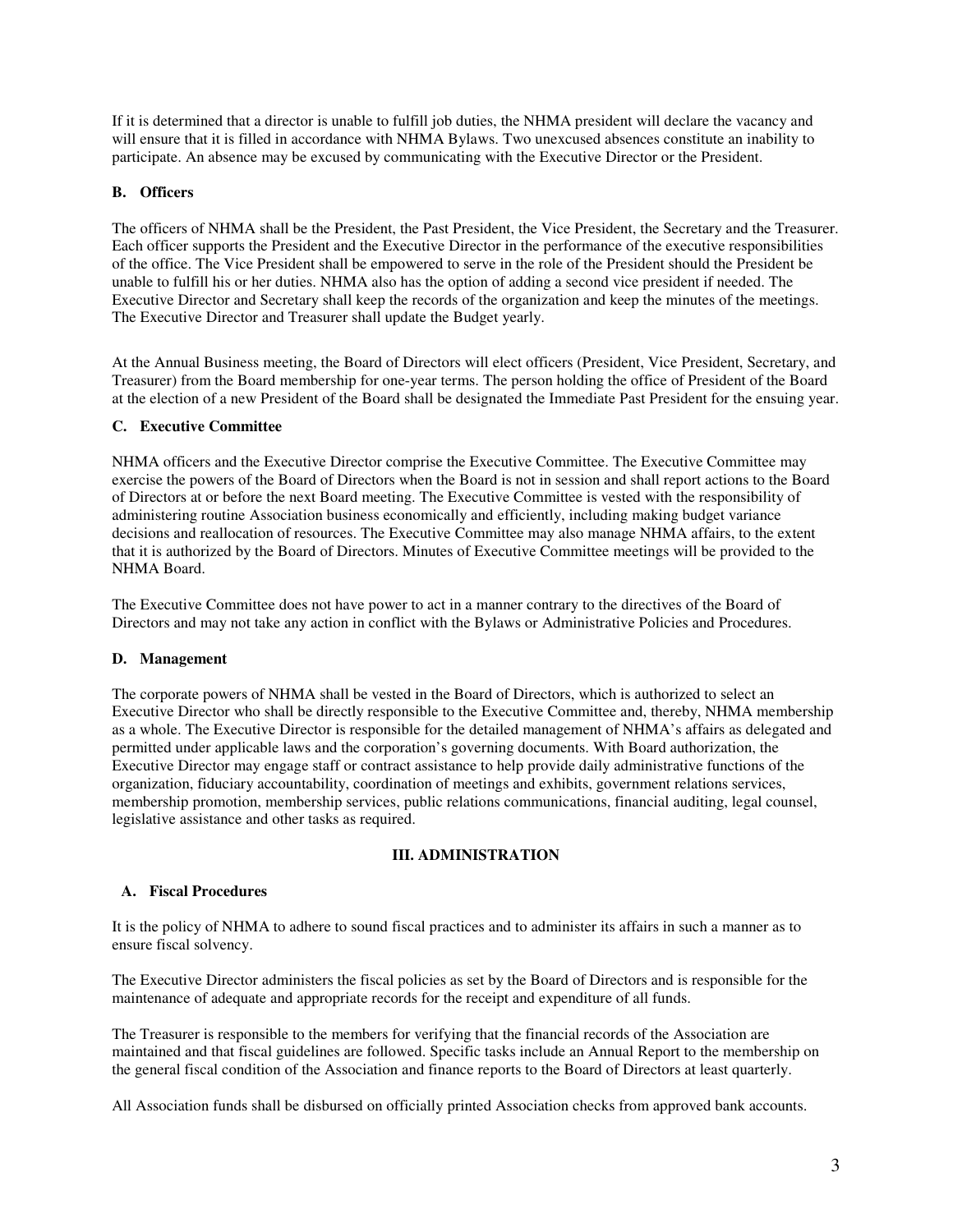If it is determined that a director is unable to fulfill job duties, the NHMA president will declare the vacancy and will ensure that it is filled in accordance with NHMA Bylaws. Two unexcused absences constitute an inability to participate. An absence may be excused by communicating with the Executive Director or the President.

# **B. Officers**

The officers of NHMA shall be the President, the Past President, the Vice President, the Secretary and the Treasurer. Each officer supports the President and the Executive Director in the performance of the executive responsibilities of the office. The Vice President shall be empowered to serve in the role of the President should the President be unable to fulfill his or her duties. NHMA also has the option of adding a second vice president if needed. The Executive Director and Secretary shall keep the records of the organization and keep the minutes of the meetings. The Executive Director and Treasurer shall update the Budget yearly.

At the Annual Business meeting, the Board of Directors will elect officers (President, Vice President, Secretary, and Treasurer) from the Board membership for one-year terms. The person holding the office of President of the Board at the election of a new President of the Board shall be designated the Immediate Past President for the ensuing year.

### **C. Executive Committee**

NHMA officers and the Executive Director comprise the Executive Committee. The Executive Committee may exercise the powers of the Board of Directors when the Board is not in session and shall report actions to the Board of Directors at or before the next Board meeting. The Executive Committee is vested with the responsibility of administering routine Association business economically and efficiently, including making budget variance decisions and reallocation of resources. The Executive Committee may also manage NHMA affairs, to the extent that it is authorized by the Board of Directors. Minutes of Executive Committee meetings will be provided to the NHMA Board.

The Executive Committee does not have power to act in a manner contrary to the directives of the Board of Directors and may not take any action in conflict with the Bylaws or Administrative Policies and Procedures.

# **D. Management**

The corporate powers of NHMA shall be vested in the Board of Directors, which is authorized to select an Executive Director who shall be directly responsible to the Executive Committee and, thereby, NHMA membership as a whole. The Executive Director is responsible for the detailed management of NHMA's affairs as delegated and permitted under applicable laws and the corporation's governing documents. With Board authorization, the Executive Director may engage staff or contract assistance to help provide daily administrative functions of the organization, fiduciary accountability, coordination of meetings and exhibits, government relations services, membership promotion, membership services, public relations communications, financial auditing, legal counsel, legislative assistance and other tasks as required.

# **III. ADMINISTRATION**

#### **A. Fiscal Procedures**

It is the policy of NHMA to adhere to sound fiscal practices and to administer its affairs in such a manner as to ensure fiscal solvency.

The Executive Director administers the fiscal policies as set by the Board of Directors and is responsible for the maintenance of adequate and appropriate records for the receipt and expenditure of all funds.

The Treasurer is responsible to the members for verifying that the financial records of the Association are maintained and that fiscal guidelines are followed. Specific tasks include an Annual Report to the membership on the general fiscal condition of the Association and finance reports to the Board of Directors at least quarterly.

All Association funds shall be disbursed on officially printed Association checks from approved bank accounts.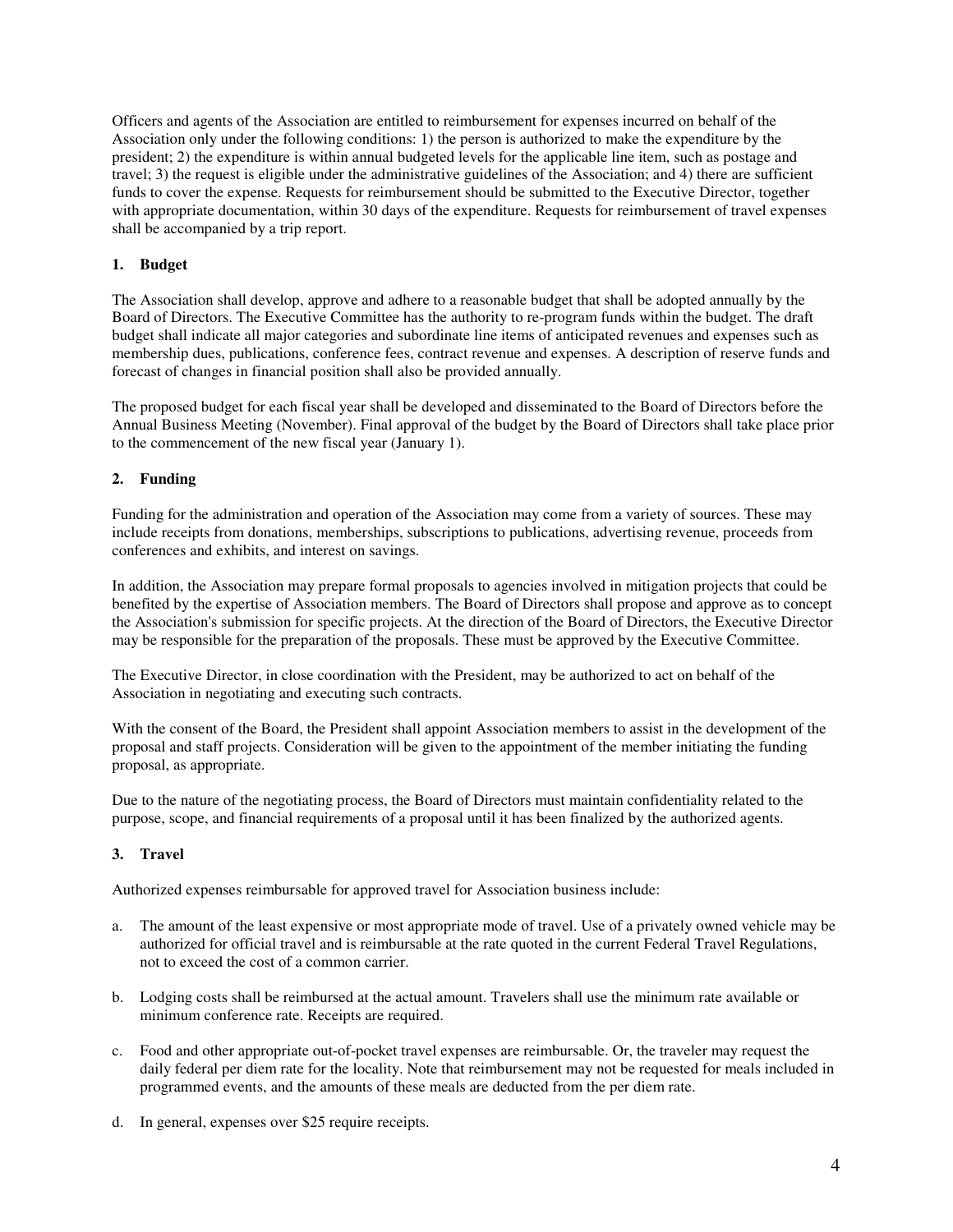Officers and agents of the Association are entitled to reimbursement for expenses incurred on behalf of the Association only under the following conditions: 1) the person is authorized to make the expenditure by the president; 2) the expenditure is within annual budgeted levels for the applicable line item, such as postage and travel; 3) the request is eligible under the administrative guidelines of the Association; and 4) there are sufficient funds to cover the expense. Requests for reimbursement should be submitted to the Executive Director, together with appropriate documentation, within 30 days of the expenditure. Requests for reimbursement of travel expenses shall be accompanied by a trip report.

# **1. Budget**

The Association shall develop, approve and adhere to a reasonable budget that shall be adopted annually by the Board of Directors. The Executive Committee has the authority to re-program funds within the budget. The draft budget shall indicate all major categories and subordinate line items of anticipated revenues and expenses such as membership dues, publications, conference fees, contract revenue and expenses. A description of reserve funds and forecast of changes in financial position shall also be provided annually.

The proposed budget for each fiscal year shall be developed and disseminated to the Board of Directors before the Annual Business Meeting (November). Final approval of the budget by the Board of Directors shall take place prior to the commencement of the new fiscal year (January 1).

# **2. Funding**

Funding for the administration and operation of the Association may come from a variety of sources. These may include receipts from donations, memberships, subscriptions to publications, advertising revenue, proceeds from conferences and exhibits, and interest on savings.

In addition, the Association may prepare formal proposals to agencies involved in mitigation projects that could be benefited by the expertise of Association members. The Board of Directors shall propose and approve as to concept the Association's submission for specific projects. At the direction of the Board of Directors, the Executive Director may be responsible for the preparation of the proposals. These must be approved by the Executive Committee.

The Executive Director, in close coordination with the President, may be authorized to act on behalf of the Association in negotiating and executing such contracts.

With the consent of the Board, the President shall appoint Association members to assist in the development of the proposal and staff projects. Consideration will be given to the appointment of the member initiating the funding proposal, as appropriate.

Due to the nature of the negotiating process, the Board of Directors must maintain confidentiality related to the purpose, scope, and financial requirements of a proposal until it has been finalized by the authorized agents.

# **3. Travel**

Authorized expenses reimbursable for approved travel for Association business include:

- a. The amount of the least expensive or most appropriate mode of travel. Use of a privately owned vehicle may be authorized for official travel and is reimbursable at the rate quoted in the current Federal Travel Regulations, not to exceed the cost of a common carrier.
- b. Lodging costs shall be reimbursed at the actual amount. Travelers shall use the minimum rate available or minimum conference rate. Receipts are required.
- c. Food and other appropriate out-of-pocket travel expenses are reimbursable. Or, the traveler may request the daily federal per diem rate for the locality. Note that reimbursement may not be requested for meals included in programmed events, and the amounts of these meals are deducted from the per diem rate.
- d. In general, expenses over \$25 require receipts.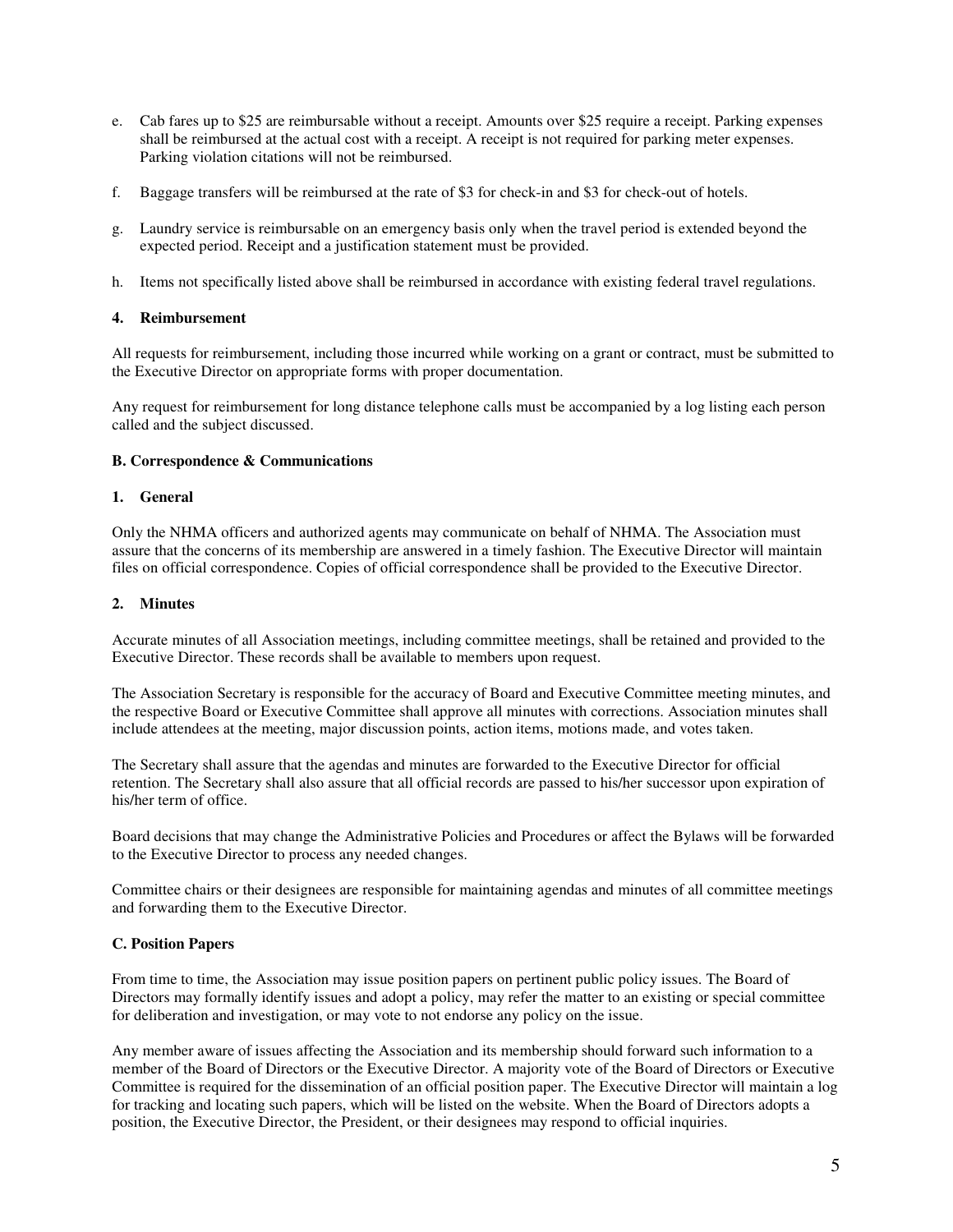- e. Cab fares up to \$25 are reimbursable without a receipt. Amounts over \$25 require a receipt. Parking expenses shall be reimbursed at the actual cost with a receipt. A receipt is not required for parking meter expenses. Parking violation citations will not be reimbursed.
- f. Baggage transfers will be reimbursed at the rate of \$3 for check-in and \$3 for check-out of hotels.
- g. Laundry service is reimbursable on an emergency basis only when the travel period is extended beyond the expected period. Receipt and a justification statement must be provided.
- h. Items not specifically listed above shall be reimbursed in accordance with existing federal travel regulations.

### **4. Reimbursement**

All requests for reimbursement, including those incurred while working on a grant or contract, must be submitted to the Executive Director on appropriate forms with proper documentation.

Any request for reimbursement for long distance telephone calls must be accompanied by a log listing each person called and the subject discussed.

### **B. Correspondence & Communications**

#### **1. General**

Only the NHMA officers and authorized agents may communicate on behalf of NHMA. The Association must assure that the concerns of its membership are answered in a timely fashion. The Executive Director will maintain files on official correspondence. Copies of official correspondence shall be provided to the Executive Director.

### **2. Minutes**

Accurate minutes of all Association meetings, including committee meetings, shall be retained and provided to the Executive Director. These records shall be available to members upon request.

The Association Secretary is responsible for the accuracy of Board and Executive Committee meeting minutes, and the respective Board or Executive Committee shall approve all minutes with corrections. Association minutes shall include attendees at the meeting, major discussion points, action items, motions made, and votes taken.

The Secretary shall assure that the agendas and minutes are forwarded to the Executive Director for official retention. The Secretary shall also assure that all official records are passed to his/her successor upon expiration of his/her term of office.

Board decisions that may change the Administrative Policies and Procedures or affect the Bylaws will be forwarded to the Executive Director to process any needed changes.

Committee chairs or their designees are responsible for maintaining agendas and minutes of all committee meetings and forwarding them to the Executive Director.

#### **C. Position Papers**

From time to time, the Association may issue position papers on pertinent public policy issues. The Board of Directors may formally identify issues and adopt a policy, may refer the matter to an existing or special committee for deliberation and investigation, or may vote to not endorse any policy on the issue.

Any member aware of issues affecting the Association and its membership should forward such information to a member of the Board of Directors or the Executive Director. A majority vote of the Board of Directors or Executive Committee is required for the dissemination of an official position paper. The Executive Director will maintain a log for tracking and locating such papers, which will be listed on the website. When the Board of Directors adopts a position, the Executive Director, the President, or their designees may respond to official inquiries.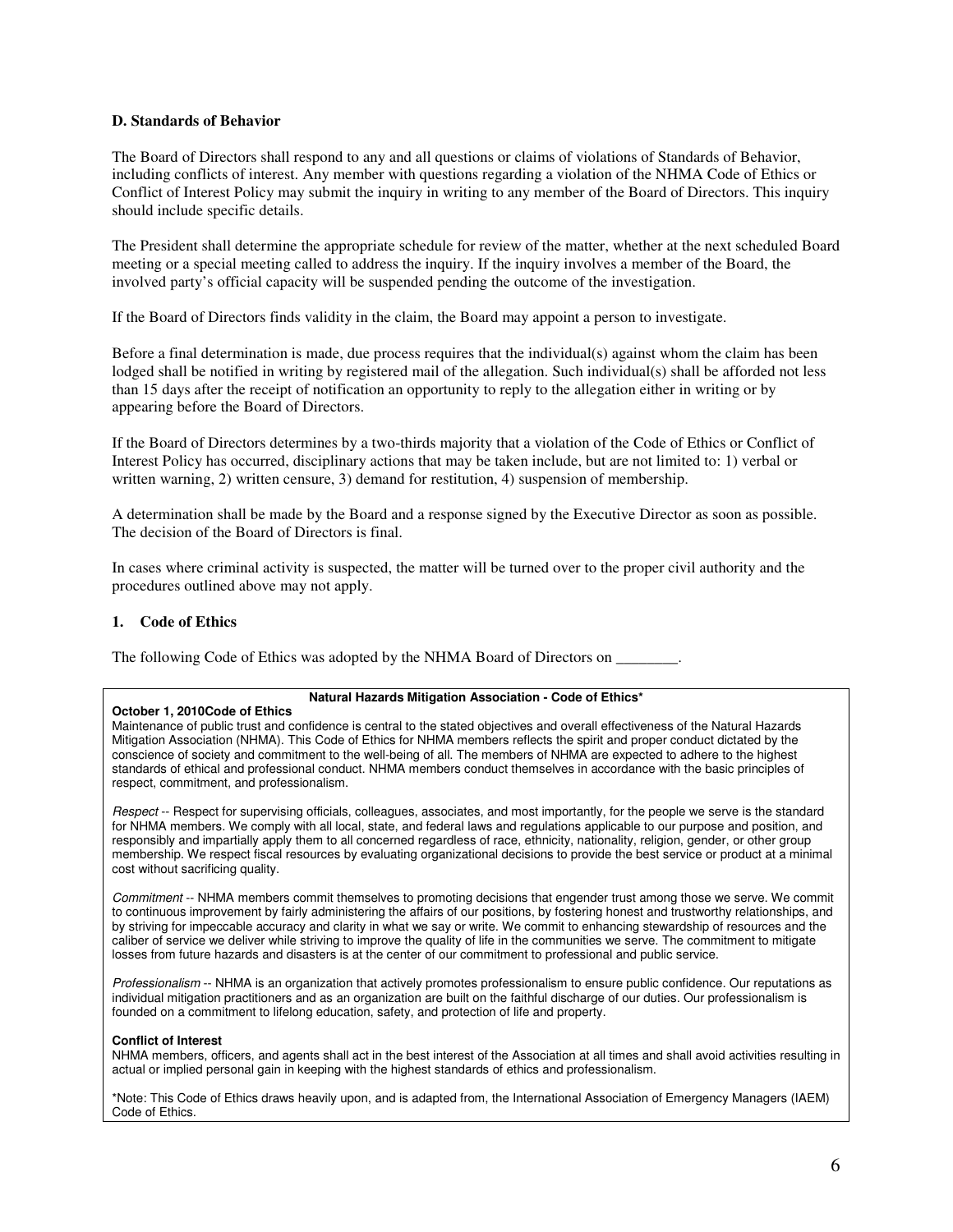#### **D. Standards of Behavior**

The Board of Directors shall respond to any and all questions or claims of violations of Standards of Behavior, including conflicts of interest. Any member with questions regarding a violation of the NHMA Code of Ethics or Conflict of Interest Policy may submit the inquiry in writing to any member of the Board of Directors. This inquiry should include specific details.

The President shall determine the appropriate schedule for review of the matter, whether at the next scheduled Board meeting or a special meeting called to address the inquiry. If the inquiry involves a member of the Board, the involved party's official capacity will be suspended pending the outcome of the investigation.

If the Board of Directors finds validity in the claim, the Board may appoint a person to investigate.

Before a final determination is made, due process requires that the individual(s) against whom the claim has been lodged shall be notified in writing by registered mail of the allegation. Such individual(s) shall be afforded not less than 15 days after the receipt of notification an opportunity to reply to the allegation either in writing or by appearing before the Board of Directors.

If the Board of Directors determines by a two-thirds majority that a violation of the Code of Ethics or Conflict of Interest Policy has occurred, disciplinary actions that may be taken include, but are not limited to: 1) verbal or written warning, 2) written censure, 3) demand for restitution, 4) suspension of membership.

A determination shall be made by the Board and a response signed by the Executive Director as soon as possible. The decision of the Board of Directors is final.

In cases where criminal activity is suspected, the matter will be turned over to the proper civil authority and the procedures outlined above may not apply.

#### **1. Code of Ethics**

The following Code of Ethics was adopted by the NHMA Board of Directors on \_\_\_\_\_\_\_\_.

#### **Natural Hazards Mitigation Association - Code of Ethics\***

#### **October 1, 2010Code of Ethics**

Maintenance of public trust and confidence is central to the stated objectives and overall effectiveness of the Natural Hazards Mitigation Association (NHMA). This Code of Ethics for NHMA members reflects the spirit and proper conduct dictated by the conscience of society and commitment to the well-being of all. The members of NHMA are expected to adhere to the highest standards of ethical and professional conduct. NHMA members conduct themselves in accordance with the basic principles of respect, commitment, and professionalism.

Respect -- Respect for supervising officials, colleagues, associates, and most importantly, for the people we serve is the standard for NHMA members. We comply with all local, state, and federal laws and regulations applicable to our purpose and position, and responsibly and impartially apply them to all concerned regardless of race, ethnicity, nationality, religion, gender, or other group membership. We respect fiscal resources by evaluating organizational decisions to provide the best service or product at a minimal cost without sacrificing quality.

Commitment -- NHMA members commit themselves to promoting decisions that engender trust among those we serve. We commit to continuous improvement by fairly administering the affairs of our positions, by fostering honest and trustworthy relationships, and by striving for impeccable accuracy and clarity in what we say or write. We commit to enhancing stewardship of resources and the caliber of service we deliver while striving to improve the quality of life in the communities we serve. The commitment to mitigate losses from future hazards and disasters is at the center of our commitment to professional and public service.

Professionalism -- NHMA is an organization that actively promotes professionalism to ensure public confidence. Our reputations as individual mitigation practitioners and as an organization are built on the faithful discharge of our duties. Our professionalism is founded on a commitment to lifelong education, safety, and protection of life and property.

#### **Conflict of Interest**

NHMA members, officers, and agents shall act in the best interest of the Association at all times and shall avoid activities resulting in actual or implied personal gain in keeping with the highest standards of ethics and professionalism.

\*Note: This Code of Ethics draws heavily upon, and is adapted from, the International Association of Emergency Managers (IAEM) Code of Ethics.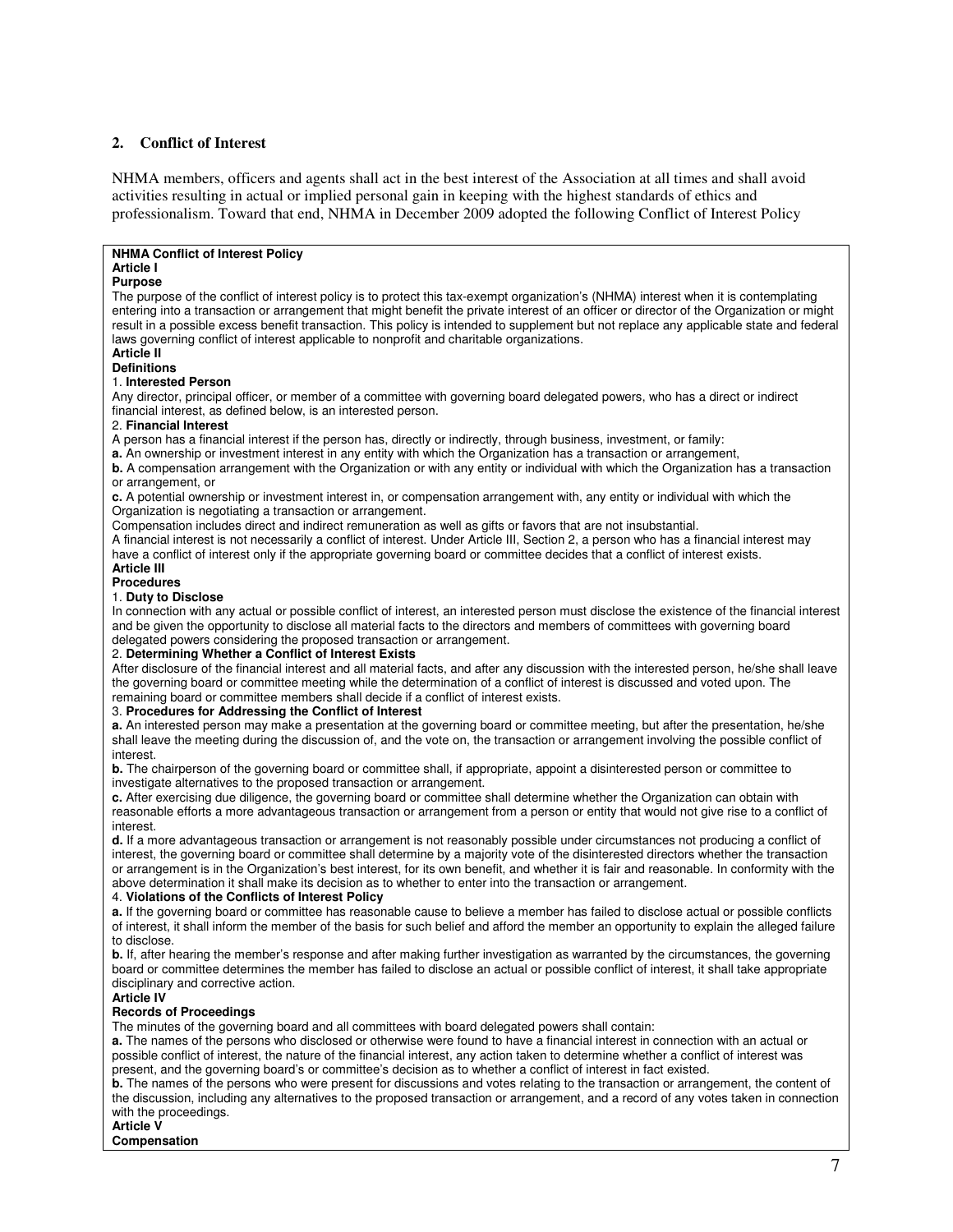### **2. Conflict of Interest**

NHMA members, officers and agents shall act in the best interest of the Association at all times and shall avoid activities resulting in actual or implied personal gain in keeping with the highest standards of ethics and professionalism. Toward that end, NHMA in December 2009 adopted the following Conflict of Interest Policy

#### **NHMA Conflict of Interest Policy**

#### **Article I Purpose**

The purpose of the conflict of interest policy is to protect this tax-exempt organization's (NHMA) interest when it is contemplating entering into a transaction or arrangement that might benefit the private interest of an officer or director of the Organization or might result in a possible excess benefit transaction. This policy is intended to supplement but not replace any applicable state and federal laws governing conflict of interest applicable to nonprofit and charitable organizations.

#### **Article II**

#### **Definitions**

#### 1. **Interested Person**

Any director, principal officer, or member of a committee with governing board delegated powers, who has a direct or indirect financial interest, as defined below, is an interested person.

#### 2. **Financial Interest**

A person has a financial interest if the person has, directly or indirectly, through business, investment, or family:

**a.** An ownership or investment interest in any entity with which the Organization has a transaction or arrangement,

**b.** A compensation arrangement with the Organization or with any entity or individual with which the Organization has a transaction or arrangement, or

**c.** A potential ownership or investment interest in, or compensation arrangement with, any entity or individual with which the Organization is negotiating a transaction or arrangement.

Compensation includes direct and indirect remuneration as well as gifts or favors that are not insubstantial.

A financial interest is not necessarily a conflict of interest. Under Article III, Section 2, a person who has a financial interest may have a conflict of interest only if the appropriate governing board or committee decides that a conflict of interest exists.

#### **Article III Procedures**

# 1. **Duty to Disclose**

In connection with any actual or possible conflict of interest, an interested person must disclose the existence of the financial interest and be given the opportunity to disclose all material facts to the directors and members of committees with governing board delegated powers considering the proposed transaction or arrangement.

#### 2. **Determining Whether a Conflict of Interest Exists**

After disclosure of the financial interest and all material facts, and after any discussion with the interested person, he/she shall leave the governing board or committee meeting while the determination of a conflict of interest is discussed and voted upon. The remaining board or committee members shall decide if a conflict of interest exists.

#### 3. **Procedures for Addressing the Conflict of Interest**

**a.** An interested person may make a presentation at the governing board or committee meeting, but after the presentation, he/she shall leave the meeting during the discussion of, and the vote on, the transaction or arrangement involving the possible conflict of interest.

**b.** The chairperson of the governing board or committee shall, if appropriate, appoint a disinterested person or committee to investigate alternatives to the proposed transaction or arrangement.

**c.** After exercising due diligence, the governing board or committee shall determine whether the Organization can obtain with reasonable efforts a more advantageous transaction or arrangement from a person or entity that would not give rise to a conflict of interest.

**d.** If a more advantageous transaction or arrangement is not reasonably possible under circumstances not producing a conflict of interest, the governing board or committee shall determine by a majority vote of the disinterested directors whether the transaction or arrangement is in the Organization's best interest, for its own benefit, and whether it is fair and reasonable. In conformity with the above determination it shall make its decision as to whether to enter into the transaction or arrangement.

# 4. **Violations of the Conflicts of Interest Policy**

**a.** If the governing board or committee has reasonable cause to believe a member has failed to disclose actual or possible conflicts of interest, it shall inform the member of the basis for such belief and afford the member an opportunity to explain the alleged failure to disclose.

**b.** If, after hearing the member's response and after making further investigation as warranted by the circumstances, the governing board or committee determines the member has failed to disclose an actual or possible conflict of interest, it shall take appropriate disciplinary and corrective action.

#### **Article IV**

#### **Records of Proceedings**

The minutes of the governing board and all committees with board delegated powers shall contain:

**a.** The names of the persons who disclosed or otherwise were found to have a financial interest in connection with an actual or possible conflict of interest, the nature of the financial interest, any action taken to determine whether a conflict of interest was present, and the governing board's or committee's decision as to whether a conflict of interest in fact existed.

**b.** The names of the persons who were present for discussions and votes relating to the transaction or arrangement, the content of the discussion, including any alternatives to the proposed transaction or arrangement, and a record of any votes taken in connection with the proceedings.

**Article V**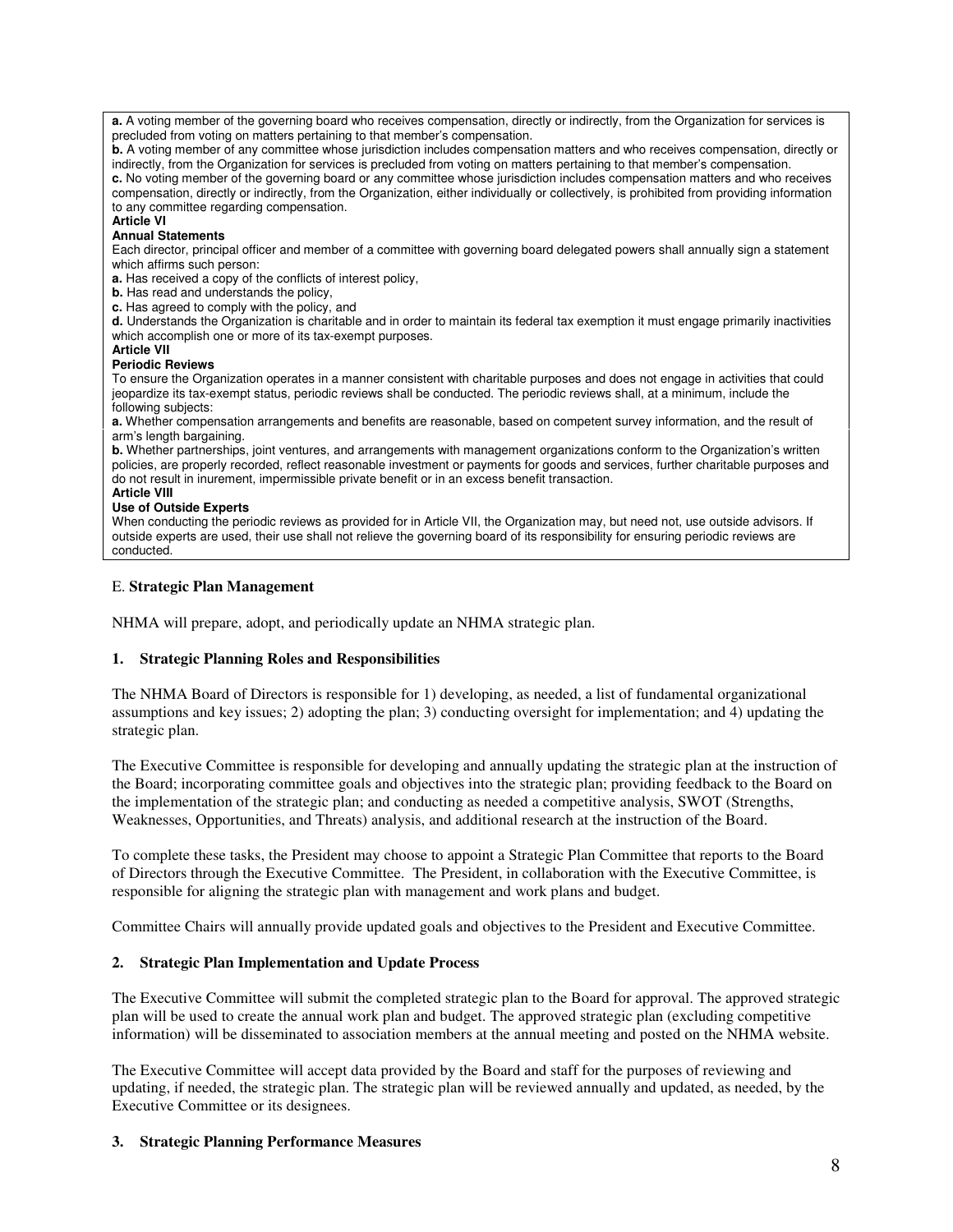**a.** A voting member of the governing board who receives compensation, directly or indirectly, from the Organization for services is precluded from voting on matters pertaining to that member's compensation.

**b.** A voting member of any committee whose jurisdiction includes compensation matters and who receives compensation, directly or indirectly, from the Organization for services is precluded from voting on matters pertaining to that member's compensation. **c.** No voting member of the governing board or any committee whose jurisdiction includes compensation matters and who receives compensation, directly or indirectly, from the Organization, either individually or collectively, is prohibited from providing information to any committee regarding compensation.

**Article VI** 

#### **Annual Statements**

Each director, principal officer and member of a committee with governing board delegated powers shall annually sign a statement which affirms such person:

**a.** Has received a copy of the conflicts of interest policy,

**b.** Has read and understands the policy,

**c.** Has agreed to comply with the policy, and

**d.** Understands the Organization is charitable and in order to maintain its federal tax exemption it must engage primarily inactivities which accomplish one or more of its tax-exempt purposes.

#### **Article VII**

#### **Periodic Reviews**

To ensure the Organization operates in a manner consistent with charitable purposes and does not engage in activities that could jeopardize its tax-exempt status, periodic reviews shall be conducted. The periodic reviews shall, at a minimum, include the following subjects:

**a.** Whether compensation arrangements and benefits are reasonable, based on competent survey information, and the result of arm's length bargaining.

**b.** Whether partnerships, joint ventures, and arrangements with management organizations conform to the Organization's written policies, are properly recorded, reflect reasonable investment or payments for goods and services, further charitable purposes and do not result in inurement, impermissible private benefit or in an excess benefit transaction.

# **Article VIII**

#### **Use of Outside Experts**

When conducting the periodic reviews as provided for in Article VII, the Organization may, but need not, use outside advisors. If outside experts are used, their use shall not relieve the governing board of its responsibility for ensuring periodic reviews are conducted.

#### E. **Strategic Plan Management**

NHMA will prepare, adopt, and periodically update an NHMA strategic plan.

#### **1. Strategic Planning Roles and Responsibilities**

The NHMA Board of Directors is responsible for 1) developing, as needed, a list of fundamental organizational assumptions and key issues; 2) adopting the plan; 3) conducting oversight for implementation; and 4) updating the strategic plan.

The Executive Committee is responsible for developing and annually updating the strategic plan at the instruction of the Board; incorporating committee goals and objectives into the strategic plan; providing feedback to the Board on the implementation of the strategic plan; and conducting as needed a competitive analysis, SWOT (Strengths, Weaknesses, Opportunities, and Threats) analysis, and additional research at the instruction of the Board.

To complete these tasks, the President may choose to appoint a Strategic Plan Committee that reports to the Board of Directors through the Executive Committee. The President, in collaboration with the Executive Committee, is responsible for aligning the strategic plan with management and work plans and budget.

Committee Chairs will annually provide updated goals and objectives to the President and Executive Committee.

#### **2. Strategic Plan Implementation and Update Process**

The Executive Committee will submit the completed strategic plan to the Board for approval. The approved strategic plan will be used to create the annual work plan and budget. The approved strategic plan (excluding competitive information) will be disseminated to association members at the annual meeting and posted on the NHMA website.

The Executive Committee will accept data provided by the Board and staff for the purposes of reviewing and updating, if needed, the strategic plan. The strategic plan will be reviewed annually and updated, as needed, by the Executive Committee or its designees.

#### **3. Strategic Planning Performance Measures**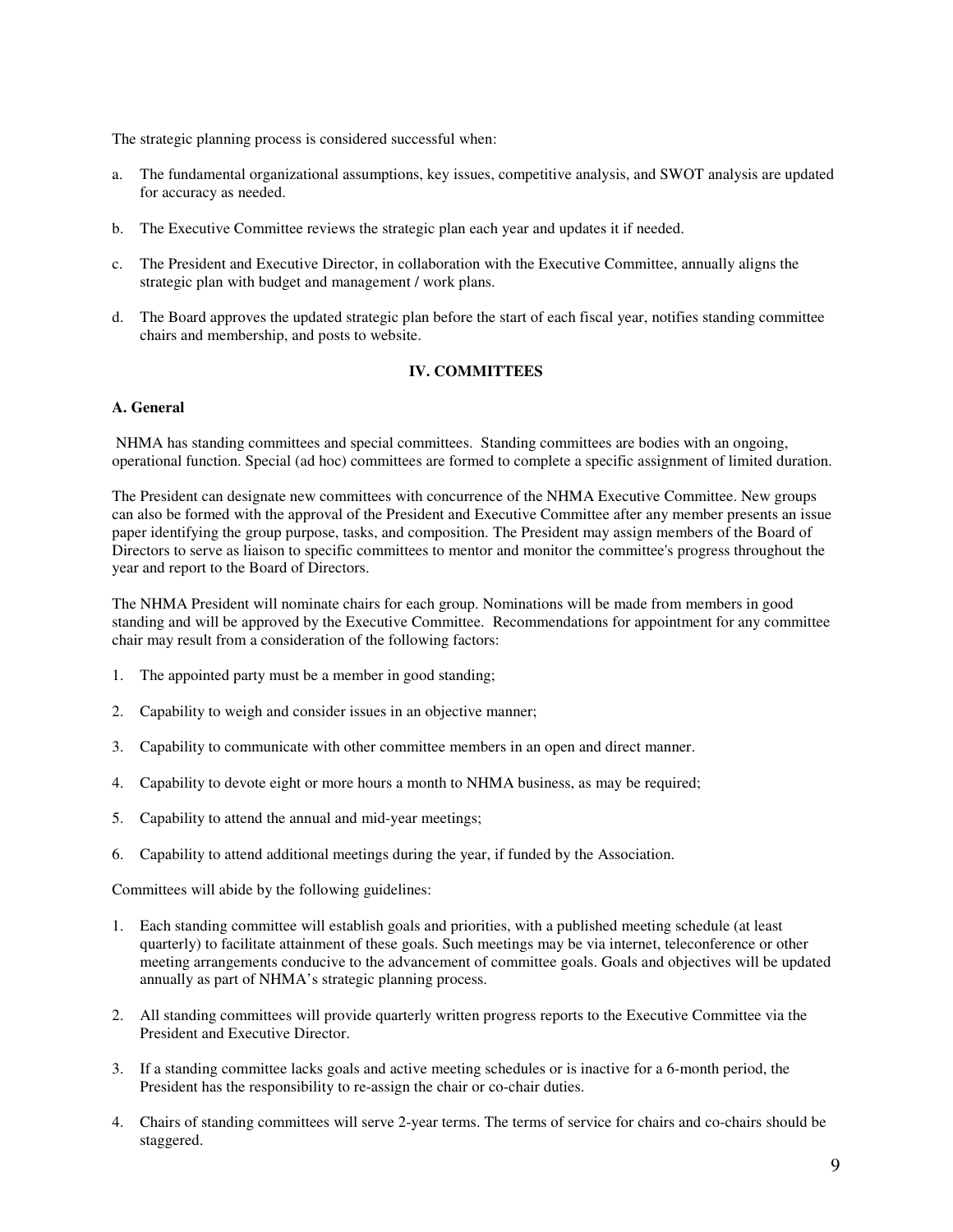The strategic planning process is considered successful when:

- a. The fundamental organizational assumptions, key issues, competitive analysis, and SWOT analysis are updated for accuracy as needed.
- b. The Executive Committee reviews the strategic plan each year and updates it if needed.
- c. The President and Executive Director, in collaboration with the Executive Committee, annually aligns the strategic plan with budget and management / work plans.
- d. The Board approves the updated strategic plan before the start of each fiscal year, notifies standing committee chairs and membership, and posts to website.

# **IV. COMMITTEES**

#### **A. General**

 NHMA has standing committees and special committees. Standing committees are bodies with an ongoing, operational function. Special (ad hoc) committees are formed to complete a specific assignment of limited duration.

The President can designate new committees with concurrence of the NHMA Executive Committee. New groups can also be formed with the approval of the President and Executive Committee after any member presents an issue paper identifying the group purpose, tasks, and composition. The President may assign members of the Board of Directors to serve as liaison to specific committees to mentor and monitor the committee's progress throughout the year and report to the Board of Directors.

The NHMA President will nominate chairs for each group. Nominations will be made from members in good standing and will be approved by the Executive Committee. Recommendations for appointment for any committee chair may result from a consideration of the following factors:

- 1. The appointed party must be a member in good standing;
- 2. Capability to weigh and consider issues in an objective manner;
- 3. Capability to communicate with other committee members in an open and direct manner.
- 4. Capability to devote eight or more hours a month to NHMA business, as may be required;
- 5. Capability to attend the annual and mid-year meetings;
- 6. Capability to attend additional meetings during the year, if funded by the Association.

Committees will abide by the following guidelines:

- 1. Each standing committee will establish goals and priorities, with a published meeting schedule (at least quarterly) to facilitate attainment of these goals. Such meetings may be via internet, teleconference or other meeting arrangements conducive to the advancement of committee goals. Goals and objectives will be updated annually as part of NHMA's strategic planning process.
- 2. All standing committees will provide quarterly written progress reports to the Executive Committee via the President and Executive Director.
- 3. If a standing committee lacks goals and active meeting schedules or is inactive for a 6-month period, the President has the responsibility to re-assign the chair or co-chair duties.
- 4. Chairs of standing committees will serve 2-year terms. The terms of service for chairs and co-chairs should be staggered.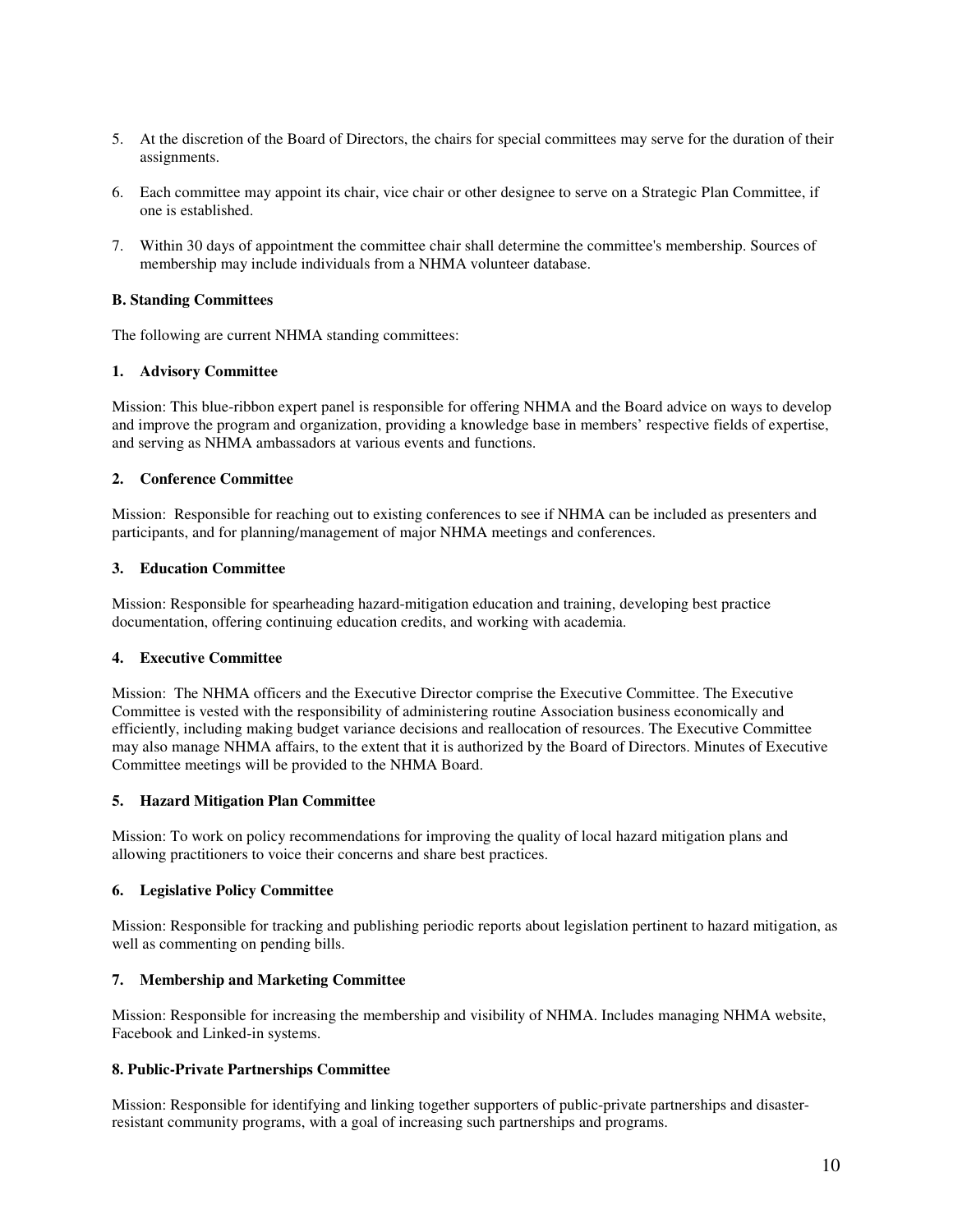- 5. At the discretion of the Board of Directors, the chairs for special committees may serve for the duration of their assignments.
- 6. Each committee may appoint its chair, vice chair or other designee to serve on a Strategic Plan Committee, if one is established.
- 7. Within 30 days of appointment the committee chair shall determine the committee's membership. Sources of membership may include individuals from a NHMA volunteer database.

### **B. Standing Committees**

The following are current NHMA standing committees:

### **1. Advisory Committee**

Mission: This blue-ribbon expert panel is responsible for offering NHMA and the Board advice on ways to develop and improve the program and organization, providing a knowledge base in members' respective fields of expertise, and serving as NHMA ambassadors at various events and functions.

### **2. Conference Committee**

Mission: Responsible for reaching out to existing conferences to see if NHMA can be included as presenters and participants, and for planning/management of major NHMA meetings and conferences.

# **3. Education Committee**

Mission: Responsible for spearheading hazard-mitigation education and training, developing best practice documentation, offering continuing education credits, and working with academia.

#### **4. Executive Committee**

Mission: The NHMA officers and the Executive Director comprise the Executive Committee. The Executive Committee is vested with the responsibility of administering routine Association business economically and efficiently, including making budget variance decisions and reallocation of resources. The Executive Committee may also manage NHMA affairs, to the extent that it is authorized by the Board of Directors. Minutes of Executive Committee meetings will be provided to the NHMA Board.

#### **5. Hazard Mitigation Plan Committee**

Mission: To work on policy recommendations for improving the quality of local hazard mitigation plans and allowing practitioners to voice their concerns and share best practices.

# **6. Legislative Policy Committee**

Mission: Responsible for tracking and publishing periodic reports about legislation pertinent to hazard mitigation, as well as commenting on pending bills.

# **7. Membership and Marketing Committee**

Mission: Responsible for increasing the membership and visibility of NHMA. Includes managing NHMA website, Facebook and Linked-in systems.

# **8. Public-Private Partnerships Committee**

Mission: Responsible for identifying and linking together supporters of public-private partnerships and disasterresistant community programs, with a goal of increasing such partnerships and programs.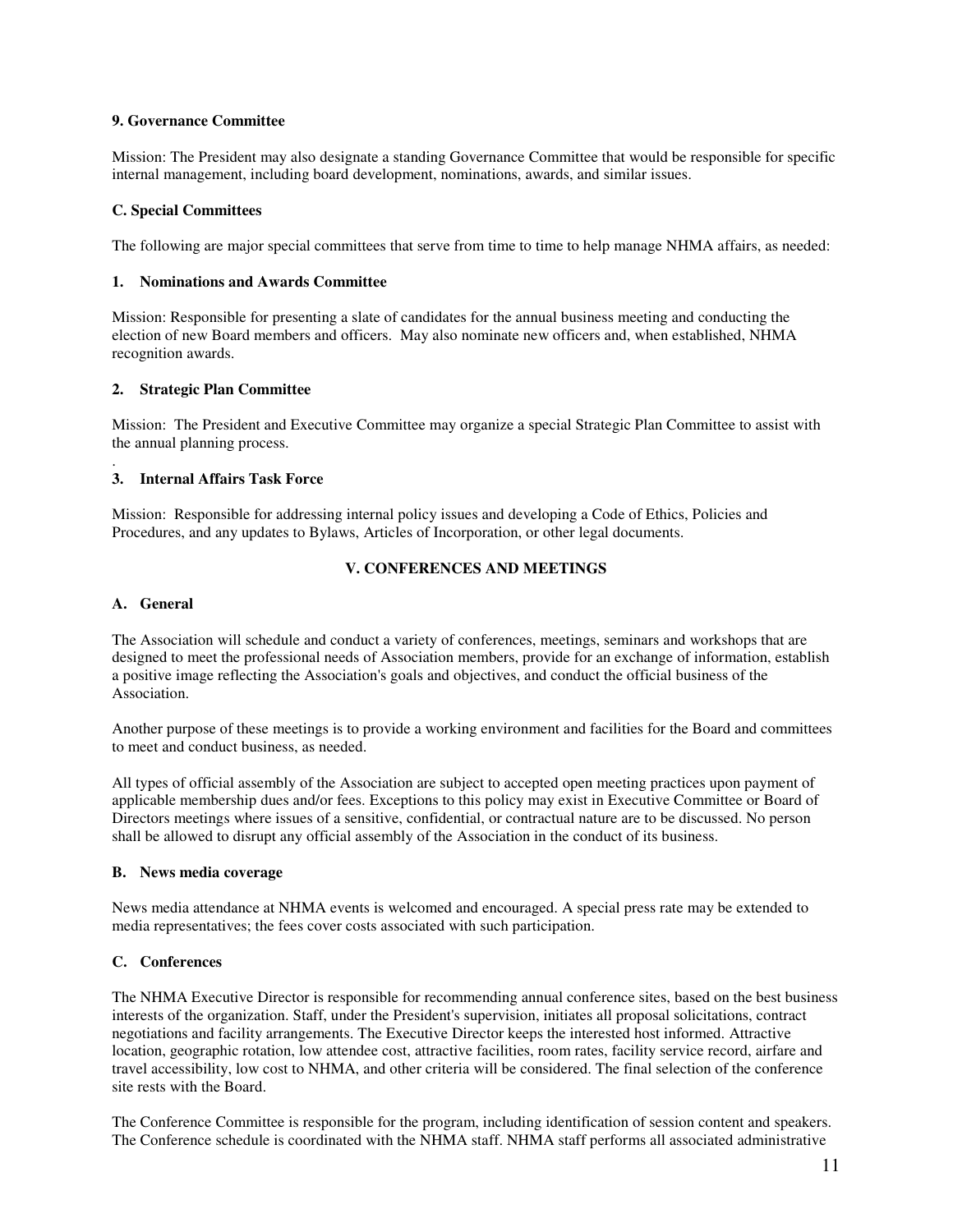### **9. Governance Committee**

Mission: The President may also designate a standing Governance Committee that would be responsible for specific internal management, including board development, nominations, awards, and similar issues.

### **C. Special Committees**

The following are major special committees that serve from time to time to help manage NHMA affairs, as needed:

#### **1. Nominations and Awards Committee**

Mission: Responsible for presenting a slate of candidates for the annual business meeting and conducting the election of new Board members and officers. May also nominate new officers and, when established, NHMA recognition awards.

### **2. Strategic Plan Committee**

Mission: The President and Executive Committee may organize a special Strategic Plan Committee to assist with the annual planning process.

### **3. Internal Affairs Task Force**

Mission: Responsible for addressing internal policy issues and developing a Code of Ethics, Policies and Procedures, and any updates to Bylaws, Articles of Incorporation, or other legal documents.

# **V. CONFERENCES AND MEETINGS**

#### **A. General**

.

The Association will schedule and conduct a variety of conferences, meetings, seminars and workshops that are designed to meet the professional needs of Association members, provide for an exchange of information, establish a positive image reflecting the Association's goals and objectives, and conduct the official business of the Association.

Another purpose of these meetings is to provide a working environment and facilities for the Board and committees to meet and conduct business, as needed.

All types of official assembly of the Association are subject to accepted open meeting practices upon payment of applicable membership dues and/or fees. Exceptions to this policy may exist in Executive Committee or Board of Directors meetings where issues of a sensitive, confidential, or contractual nature are to be discussed. No person shall be allowed to disrupt any official assembly of the Association in the conduct of its business.

#### **B. News media coverage**

News media attendance at NHMA events is welcomed and encouraged. A special press rate may be extended to media representatives; the fees cover costs associated with such participation.

# **C. Conferences**

The NHMA Executive Director is responsible for recommending annual conference sites, based on the best business interests of the organization. Staff, under the President's supervision, initiates all proposal solicitations, contract negotiations and facility arrangements. The Executive Director keeps the interested host informed. Attractive location, geographic rotation, low attendee cost, attractive facilities, room rates, facility service record, airfare and travel accessibility, low cost to NHMA, and other criteria will be considered. The final selection of the conference site rests with the Board.

The Conference Committee is responsible for the program, including identification of session content and speakers. The Conference schedule is coordinated with the NHMA staff. NHMA staff performs all associated administrative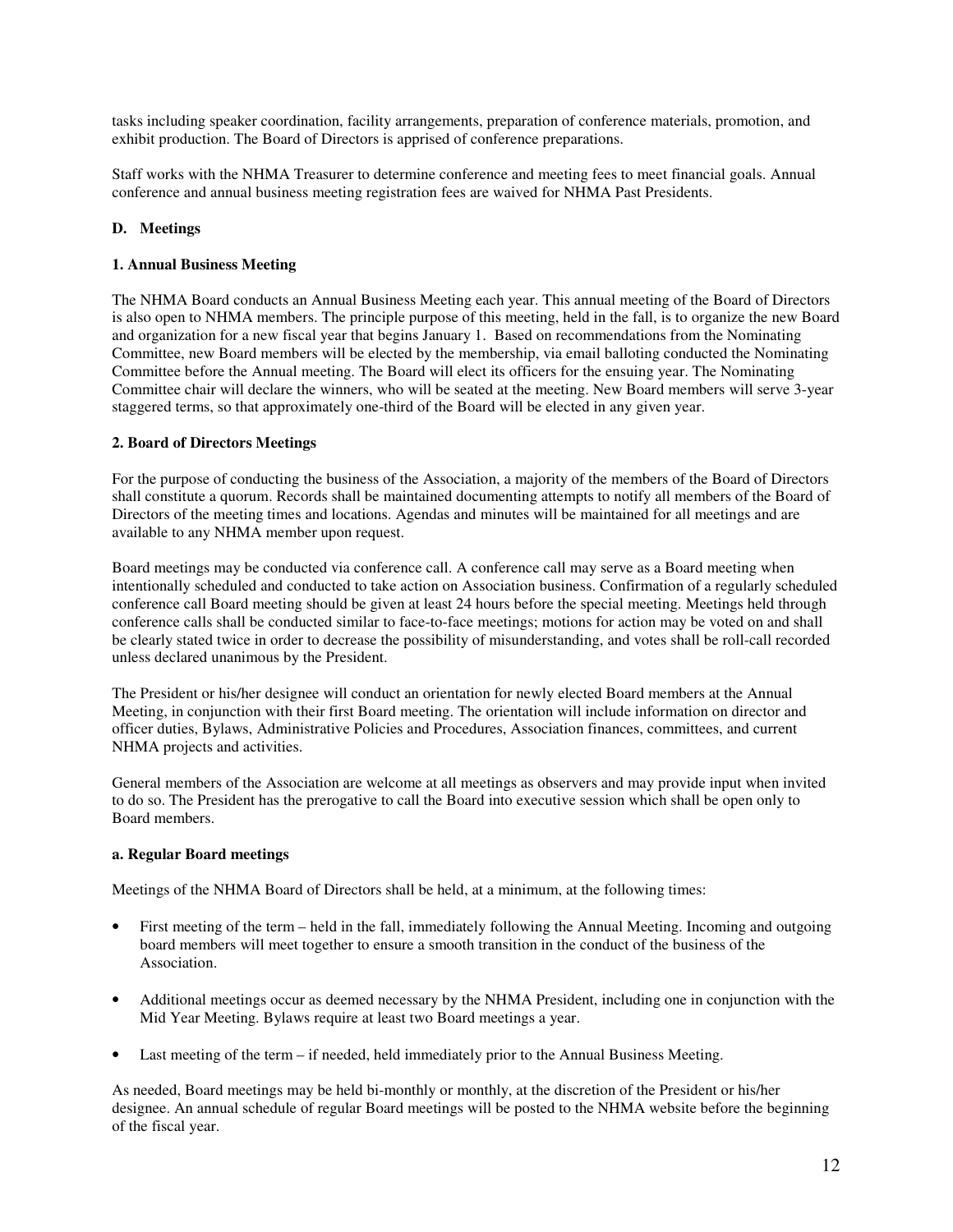tasks including speaker coordination, facility arrangements, preparation of conference materials, promotion, and exhibit production. The Board of Directors is apprised of conference preparations.

Staff works with the NHMA Treasurer to determine conference and meeting fees to meet financial goals. Annual conference and annual business meeting registration fees are waived for NHMA Past Presidents.

# **D. Meetings**

# **1. Annual Business Meeting**

The NHMA Board conducts an Annual Business Meeting each year. This annual meeting of the Board of Directors is also open to NHMA members. The principle purpose of this meeting, held in the fall, is to organize the new Board and organization for a new fiscal year that begins January 1. Based on recommendations from the Nominating Committee, new Board members will be elected by the membership, via email balloting conducted the Nominating Committee before the Annual meeting. The Board will elect its officers for the ensuing year. The Nominating Committee chair will declare the winners, who will be seated at the meeting. New Board members will serve 3-year staggered terms, so that approximately one-third of the Board will be elected in any given year.

### **2. Board of Directors Meetings**

For the purpose of conducting the business of the Association, a majority of the members of the Board of Directors shall constitute a quorum. Records shall be maintained documenting attempts to notify all members of the Board of Directors of the meeting times and locations. Agendas and minutes will be maintained for all meetings and are available to any NHMA member upon request.

Board meetings may be conducted via conference call. A conference call may serve as a Board meeting when intentionally scheduled and conducted to take action on Association business. Confirmation of a regularly scheduled conference call Board meeting should be given at least 24 hours before the special meeting. Meetings held through conference calls shall be conducted similar to face-to-face meetings; motions for action may be voted on and shall be clearly stated twice in order to decrease the possibility of misunderstanding, and votes shall be roll-call recorded unless declared unanimous by the President.

The President or his/her designee will conduct an orientation for newly elected Board members at the Annual Meeting, in conjunction with their first Board meeting. The orientation will include information on director and officer duties, Bylaws, Administrative Policies and Procedures, Association finances, committees, and current NHMA projects and activities.

General members of the Association are welcome at all meetings as observers and may provide input when invited to do so. The President has the prerogative to call the Board into executive session which shall be open only to Board members.

#### **a. Regular Board meetings**

Meetings of the NHMA Board of Directors shall be held, at a minimum, at the following times:

- First meeting of the term held in the fall, immediately following the Annual Meeting. Incoming and outgoing board members will meet together to ensure a smooth transition in the conduct of the business of the Association.
- Additional meetings occur as deemed necessary by the NHMA President, including one in conjunction with the Mid Year Meeting. Bylaws require at least two Board meetings a year.
- Last meeting of the term if needed, held immediately prior to the Annual Business Meeting.

As needed, Board meetings may be held bi-monthly or monthly, at the discretion of the President or his/her designee. An annual schedule of regular Board meetings will be posted to the NHMA website before the beginning of the fiscal year.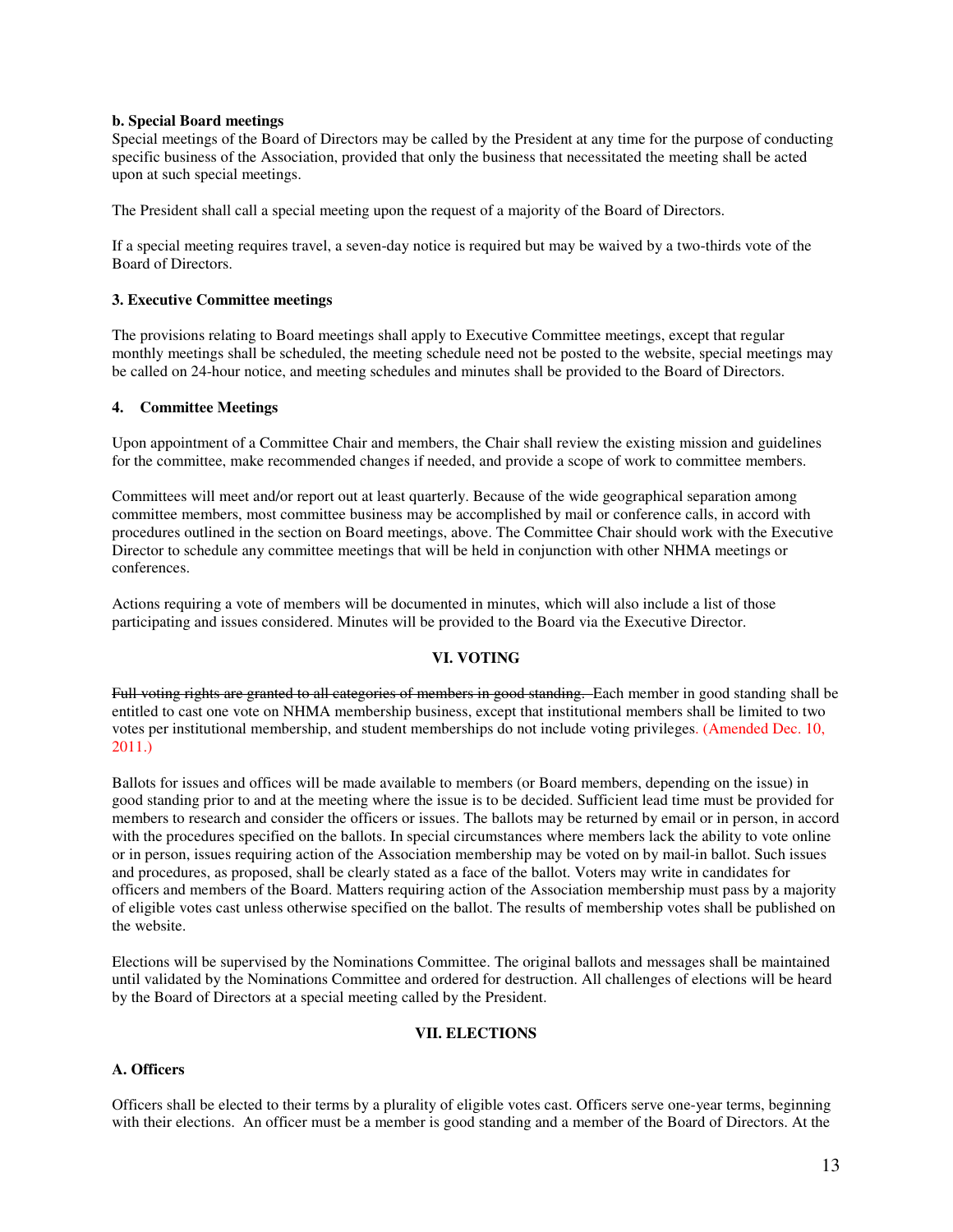#### **b. Special Board meetings**

Special meetings of the Board of Directors may be called by the President at any time for the purpose of conducting specific business of the Association, provided that only the business that necessitated the meeting shall be acted upon at such special meetings.

The President shall call a special meeting upon the request of a majority of the Board of Directors.

If a special meeting requires travel, a seven-day notice is required but may be waived by a two-thirds vote of the Board of Directors.

# **3. Executive Committee meetings**

The provisions relating to Board meetings shall apply to Executive Committee meetings, except that regular monthly meetings shall be scheduled, the meeting schedule need not be posted to the website, special meetings may be called on 24-hour notice, and meeting schedules and minutes shall be provided to the Board of Directors.

### **4. Committee Meetings**

Upon appointment of a Committee Chair and members, the Chair shall review the existing mission and guidelines for the committee, make recommended changes if needed, and provide a scope of work to committee members.

Committees will meet and/or report out at least quarterly. Because of the wide geographical separation among committee members, most committee business may be accomplished by mail or conference calls, in accord with procedures outlined in the section on Board meetings, above. The Committee Chair should work with the Executive Director to schedule any committee meetings that will be held in conjunction with other NHMA meetings or conferences.

Actions requiring a vote of members will be documented in minutes, which will also include a list of those participating and issues considered. Minutes will be provided to the Board via the Executive Director.

# **VI. VOTING**

Full voting rights are granted to all categories of members in good standing. Each member in good standing shall be entitled to cast one vote on NHMA membership business, except that institutional members shall be limited to two votes per institutional membership, and student memberships do not include voting privileges. (Amended Dec. 10, 2011.)

Ballots for issues and offices will be made available to members (or Board members, depending on the issue) in good standing prior to and at the meeting where the issue is to be decided. Sufficient lead time must be provided for members to research and consider the officers or issues. The ballots may be returned by email or in person, in accord with the procedures specified on the ballots. In special circumstances where members lack the ability to vote online or in person, issues requiring action of the Association membership may be voted on by mail-in ballot. Such issues and procedures, as proposed, shall be clearly stated as a face of the ballot. Voters may write in candidates for officers and members of the Board. Matters requiring action of the Association membership must pass by a majority of eligible votes cast unless otherwise specified on the ballot. The results of membership votes shall be published on the website.

Elections will be supervised by the Nominations Committee. The original ballots and messages shall be maintained until validated by the Nominations Committee and ordered for destruction. All challenges of elections will be heard by the Board of Directors at a special meeting called by the President.

#### **VII. ELECTIONS**

# **A. Officers**

Officers shall be elected to their terms by a plurality of eligible votes cast. Officers serve one-year terms, beginning with their elections. An officer must be a member is good standing and a member of the Board of Directors. At the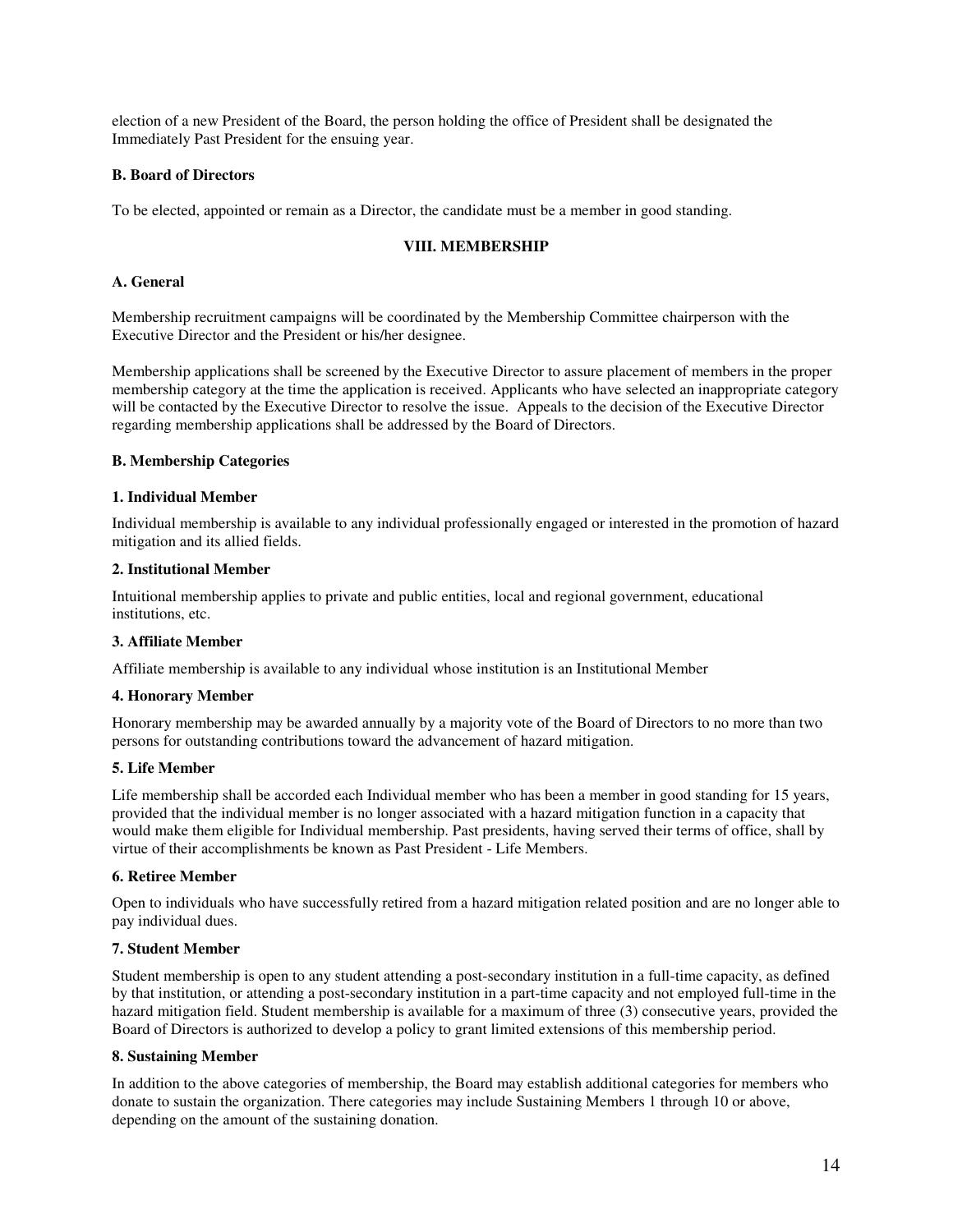election of a new President of the Board, the person holding the office of President shall be designated the Immediately Past President for the ensuing year.

### **B. Board of Directors**

To be elected, appointed or remain as a Director, the candidate must be a member in good standing.

#### **VIII. MEMBERSHIP**

#### **A. General**

Membership recruitment campaigns will be coordinated by the Membership Committee chairperson with the Executive Director and the President or his/her designee.

Membership applications shall be screened by the Executive Director to assure placement of members in the proper membership category at the time the application is received. Applicants who have selected an inappropriate category will be contacted by the Executive Director to resolve the issue. Appeals to the decision of the Executive Director regarding membership applications shall be addressed by the Board of Directors.

# **B. Membership Categories**

#### **1. Individual Member**

Individual membership is available to any individual professionally engaged or interested in the promotion of hazard mitigation and its allied fields.

#### **2. Institutional Member**

Intuitional membership applies to private and public entities, local and regional government, educational institutions, etc.

### **3. Affiliate Member**

Affiliate membership is available to any individual whose institution is an Institutional Member

#### **4. Honorary Member**

Honorary membership may be awarded annually by a majority vote of the Board of Directors to no more than two persons for outstanding contributions toward the advancement of hazard mitigation.

# **5. Life Member**

Life membership shall be accorded each Individual member who has been a member in good standing for 15 years, provided that the individual member is no longer associated with a hazard mitigation function in a capacity that would make them eligible for Individual membership. Past presidents, having served their terms of office, shall by virtue of their accomplishments be known as Past President - Life Members.

#### **6. Retiree Member**

Open to individuals who have successfully retired from a hazard mitigation related position and are no longer able to pay individual dues.

#### **7. Student Member**

Student membership is open to any student attending a post-secondary institution in a full-time capacity, as defined by that institution, or attending a post-secondary institution in a part-time capacity and not employed full-time in the hazard mitigation field. Student membership is available for a maximum of three (3) consecutive years, provided the Board of Directors is authorized to develop a policy to grant limited extensions of this membership period.

#### **8. Sustaining Member**

In addition to the above categories of membership, the Board may establish additional categories for members who donate to sustain the organization. There categories may include Sustaining Members 1 through 10 or above, depending on the amount of the sustaining donation.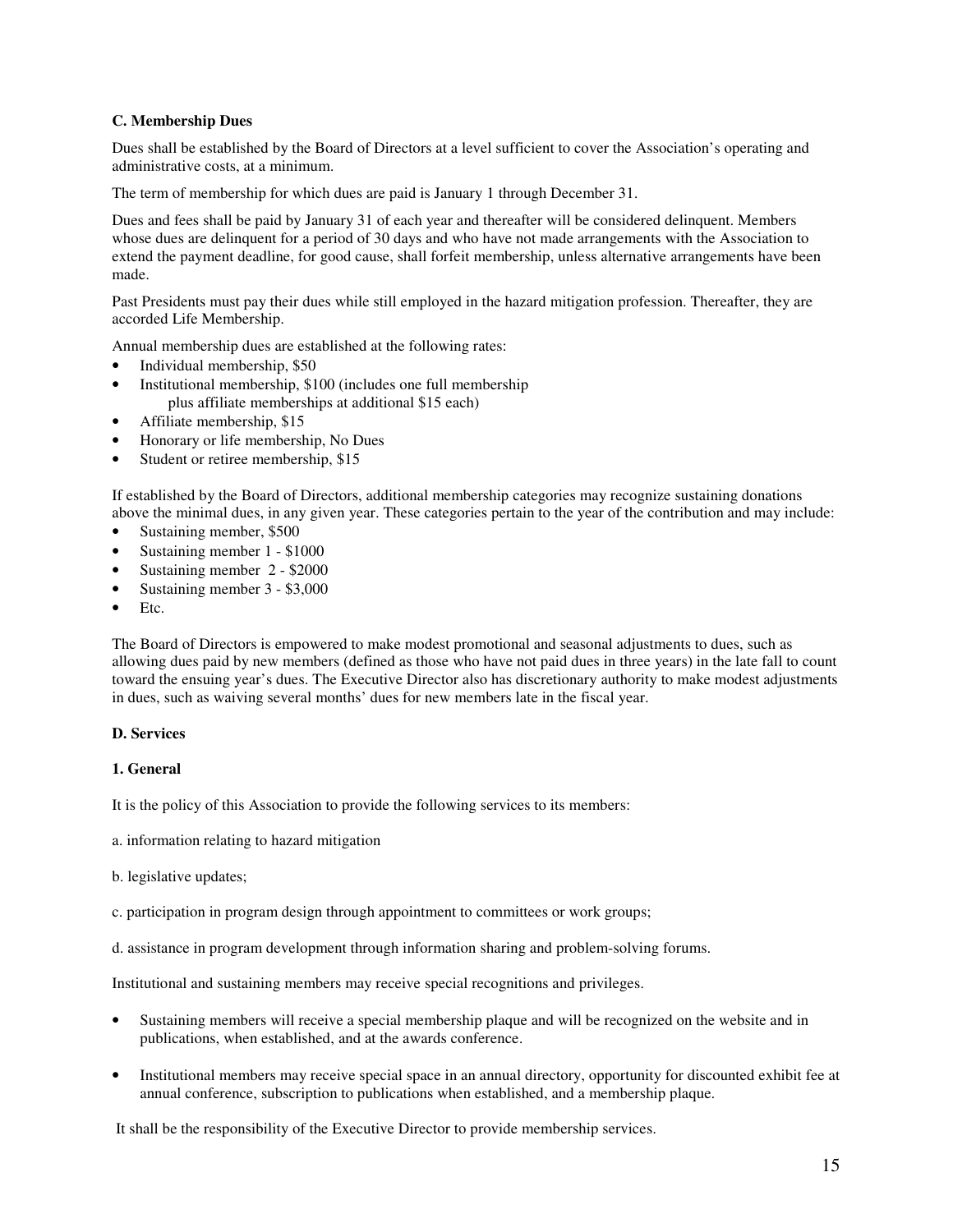# **C. Membership Dues**

Dues shall be established by the Board of Directors at a level sufficient to cover the Association's operating and administrative costs, at a minimum.

The term of membership for which dues are paid is January 1 through December 31.

Dues and fees shall be paid by January 31 of each year and thereafter will be considered delinquent. Members whose dues are delinquent for a period of 30 days and who have not made arrangements with the Association to extend the payment deadline, for good cause, shall forfeit membership, unless alternative arrangements have been made.

Past Presidents must pay their dues while still employed in the hazard mitigation profession. Thereafter, they are accorded Life Membership.

Annual membership dues are established at the following rates:

- Individual membership, \$50
- Institutional membership, \$100 (includes one full membership plus affiliate memberships at additional \$15 each)
- Affiliate membership, \$15
- Honorary or life membership, No Dues
- Student or retiree membership, \$15

If established by the Board of Directors, additional membership categories may recognize sustaining donations above the minimal dues, in any given year. These categories pertain to the year of the contribution and may include:

- Sustaining member, \$500
- Sustaining member 1 \$1000
- Sustaining member 2 \$2000
- Sustaining member 3 \$3,000
- Etc.

The Board of Directors is empowered to make modest promotional and seasonal adjustments to dues, such as allowing dues paid by new members (defined as those who have not paid dues in three years) in the late fall to count toward the ensuing year's dues. The Executive Director also has discretionary authority to make modest adjustments in dues, such as waiving several months' dues for new members late in the fiscal year.

# **D. Services**

#### **1. General**

It is the policy of this Association to provide the following services to its members:

- a. information relating to hazard mitigation
- b. legislative updates;
- c. participation in program design through appointment to committees or work groups;
- d. assistance in program development through information sharing and problem-solving forums.

Institutional and sustaining members may receive special recognitions and privileges.

- Sustaining members will receive a special membership plaque and will be recognized on the website and in publications, when established, and at the awards conference.
- Institutional members may receive special space in an annual directory, opportunity for discounted exhibit fee at annual conference, subscription to publications when established, and a membership plaque.

It shall be the responsibility of the Executive Director to provide membership services.